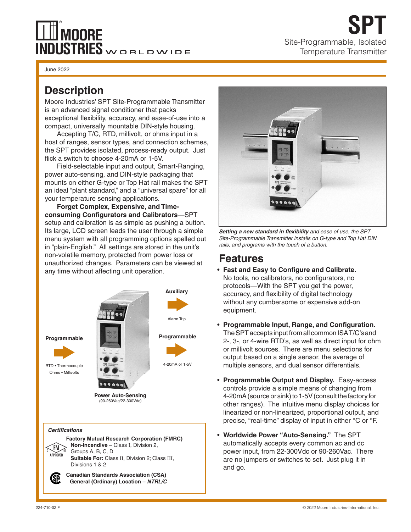# **100RE** INDUSTRIES WORLDWIDE

June 2022

Moore Industries' SPT Site-Programmable Transmitter is an advanced signal conditioner that packs exceptional flexibility, accuracy, and ease-of-use into a compact, universally mountable DIN-style housing.

Accepting T/C, RTD, millivolt, or ohms input in a host of ranges, sensor types, and connection schemes, the SPT provides isolated, process-ready output. Just flick a switch to choose 4-20mA or 1-5V.

Field-selectable input and output, Smart-Ranging, power auto-sensing, and DIN-style packaging that mounts on either G-type or Top Hat rail makes the SPT an ideal "plant standard," and a "universal spare" for all your temperature sensing applications.

**Forget Complex, Expensive, and Timeconsuming Configurators and Calibrators**—SPT setup and calibration is as simple as pushing a button. Its large, LCD screen leads the user through a simple menu system with all programming options spelled out in "plain-English." All settings are stored in the unit's non-volatile memory, protected from power loss or unauthorized changes. Parameters can be viewed at any time without affecting unit operation.







Site-Programmable, Isolated Temperature Transmitter

**SPT**

*Setting a new standard in flexibility and ease of use, the SPT Site-Programmable Transmitter installs on G-type and Top Hat DIN rails, and programs with the touch of a button.*

### **Features**

- **Fast and Easy to Configure and Calibrate.**  No tools, no calibrators, no configurators, no protocols—With the SPT you get the power, accuracy, and flexibility of digital technology without any cumbersome or expensive add-on equipment.
- **Programmable Input, Range, and Configuration.** The SPT accepts input from all common ISA T/C's and 2-, 3-, or 4-wire RTD's, as well as direct input for ohm or millivolt sources. There are menu selections for output based on a single sensor, the average of multiple sensors, and dual sensor differentials.
- **Programmable Output and Display.** Easy-access controls provide a simple means of changing from 4-20mA (source or sink) to 1-5V (consult the factory for other ranges). The intuitive menu display choices for linearized or non-linearized, proportional output, and precise, "real-time" display of input in either °C or °F.
- **Worldwide Power "Auto-Sensing."** The SPT automatically accepts every common ac and dc power input, from 22-300Vdc or 90-260Vac. There are no jumpers or switches to set. Just plug it in and go.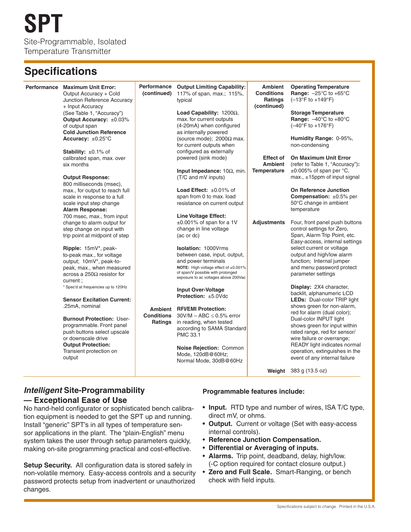### **Specifications**

|  | Performance Maximum Unit Error:<br>Output Accuracy + Cold<br>Junction Reference Accuracy<br>+ Input Accuracy                                                                                           | <b>Performance</b><br>(continued) | <b>Output Limiting Capability:</b><br>117% of span, max.; 115%,<br>typical                                                                                                                             | <b>Ambient</b><br><b>Conditions</b><br>Ratings<br>(continued) | <b>Operating Temperature</b><br>Range: $-25^{\circ}$ C to $+65^{\circ}$ C<br>$(-13^{\circ}F to +149^{\circ}F)$                         |
|--|--------------------------------------------------------------------------------------------------------------------------------------------------------------------------------------------------------|-----------------------------------|--------------------------------------------------------------------------------------------------------------------------------------------------------------------------------------------------------|---------------------------------------------------------------|----------------------------------------------------------------------------------------------------------------------------------------|
|  | (See Table 1, "Accuracy")<br>Output Accuracy: ±0.03%<br>of output span<br><b>Cold Junction Reference</b>                                                                                               |                                   | Load Capability: $1200\Omega$ .<br>max. for current outputs<br>(4-20mA) when configured<br>as internally powered                                                                                       |                                                               | <b>Storage Temperature</b><br>Range: $-40^{\circ}$ C to $+80^{\circ}$ C<br>$(-40^{\circ}F to +176^{\circ}F)$                           |
|  | Accuracy: $\pm 0.25^{\circ}$ C                                                                                                                                                                         |                                   | (source mode); $2000\Omega$ max.<br>for current outputs when                                                                                                                                           |                                                               | Humidity Range: 0-95%,<br>non-condensing                                                                                               |
|  | <b>Stability:</b> $\pm 0.1\%$ of<br>calibrated span, max. over<br>six months                                                                                                                           |                                   | configured as externally<br>powered (sink mode)                                                                                                                                                        | <b>Effect of</b><br>Ambient                                   | <b>On Maximum Unit Error</b><br>(refer to Table 1, "Accuracy"):                                                                        |
|  | <b>Output Response:</b><br>800 milliseconds (msec),                                                                                                                                                    |                                   | Input Impedance: 10Ω, min.<br>(T/C and mV inputs)                                                                                                                                                      | Temperature                                                   | $\pm 0.005\%$ of span per °C,<br>max., ±15ppm of input signal                                                                          |
|  | max., for output to reach full<br>scale in response to a full<br>scale input step change<br><b>Alarm Response:</b>                                                                                     |                                   | <b>Load Effect:</b> $\pm 0.01\%$ of<br>span from 0 to max. load<br>resistance on current output                                                                                                        |                                                               | <b>On Reference Junction</b><br>Compensation: ±0.5% per<br>50°C change in ambient<br>temperature                                       |
|  | 700 msec, max., from input<br>change to alarm output for<br>step change on input with<br>trip point at midpoint of step                                                                                |                                   | <b>Line Voltage Effect:</b><br>$\pm 0.001\%$ of span for a 1V<br>change in line voltage<br>(ac or dc)                                                                                                  | <b>Adjustments</b>                                            | Four, front panel push buttons<br>control settings for Zero,<br>Span, Alarm Trip Point, etc.<br>Easy-access, internal settings         |
|  | Ripple: 15mV*, peak-<br>to-peak max., for voltage<br>output; 10mV*, peak-to-<br>peak, max., when measured<br>across a 250Ω resistor for<br>current ;                                                   |                                   | <b>Isolation: 1000Vrms</b><br>between case, input, output,<br>and power terminals<br>NOTE: High voltage effect of ±0.001%<br>of span/V possible with prolonged<br>exposure to ac voltages above 200Vac |                                                               | select current or voltage<br>output and high/low alarm<br>function; Internal jumper<br>and menu password protect<br>parameter settings |
|  | * Spec'd at frequencies up to 120Hz<br><b>Sensor Excitation Current:</b>                                                                                                                               |                                   | <b>Input Over-Voltage</b><br>Protection: ±5.0Vdc                                                                                                                                                       |                                                               | Display: 2X4 character,<br>backlit, alphanumeric LCD<br><b>LEDs:</b> Dual-color TRIP light                                             |
|  | .25mA, nominal<br><b>Burnout Protection: User-</b><br>programmable. Front panel<br>push buttons select upscale<br>or downscale drive<br><b>Output Protection:</b><br>Transient protection on<br>output | <b>Conditions</b><br>Ratings      | <b>Ambient RFI/EMI Protection:</b><br>$30V/M - ABC \leq 0.5\%$ error<br>in reading, when tested<br>according to SAMA Standard                                                                          |                                                               | shows green for non-alarm,<br>red for alarm (dual color);<br>Dual-color INPUT light<br>shows green for input within                    |
|  |                                                                                                                                                                                                        |                                   | PMC 33.1                                                                                                                                                                                               |                                                               | rated range, red for sensor/<br>wire failure or overrange;<br>READY light indicates normal                                             |
|  |                                                                                                                                                                                                        |                                   | Noise Rejection: Common<br>Mode, 120dB@60Hz;<br>Normal Mode, 30dB@60Hz                                                                                                                                 |                                                               | operation, extinguishes in the<br>event of any internal failure                                                                        |
|  |                                                                                                                                                                                                        |                                   |                                                                                                                                                                                                        | Weight                                                        | 383 g (13.5 oz)                                                                                                                        |

### *Intelligent* **Site-Programmability — Exceptional Ease of Use**

No hand-held configurator or sophisticated bench calibration equipment is needed to get the SPT up and running. Install "generic" SPT's in all types of temperature sensor applications in the plant. The "plain-English" menu system takes the user through setup parameters quickly, making on-site programming practical and cost-effective.

**Setup Security.** All configuration data is stored safely in non-volatile memory. Easy-access controls and a security password protects setup from inadvertent or unauthorized changes.

#### **Programmable features include:**

- **• Input.** RTD type and number of wires, ISA T/C type, direct mV, or ohms.
- **• Output.** Current or voltage (Set with easy-access internal controls).
- **Reference Junction Compensation.**
- **Differential or Averaging of inputs.**
- **Alarms.** Trip point, deadband, delay, high/low. (-C option required for contact closure output.)
- **Zero and Full Scale.** Smart-Ranging, or bench check with field inputs.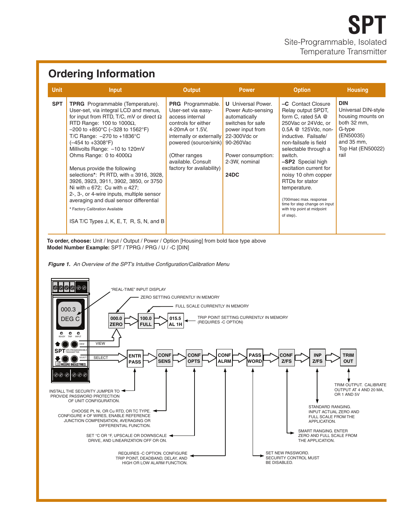### **Ordering Information**

| <b>Unit</b> | <b>Input</b>                                                                                                                                                                                                                                                                                                                                                                                                                                                                                                                                                                                                                                                                                               | <b>Output</b>                                                                                                                                                                                                                                        | <b>Power</b>                                                                                                                                                    | <b>Option</b>                                                                                                                                                                                                                                                                                                                                                                                                     | <b>Housing</b>                                                                                                                          |
|-------------|------------------------------------------------------------------------------------------------------------------------------------------------------------------------------------------------------------------------------------------------------------------------------------------------------------------------------------------------------------------------------------------------------------------------------------------------------------------------------------------------------------------------------------------------------------------------------------------------------------------------------------------------------------------------------------------------------------|------------------------------------------------------------------------------------------------------------------------------------------------------------------------------------------------------------------------------------------------------|-----------------------------------------------------------------------------------------------------------------------------------------------------------------|-------------------------------------------------------------------------------------------------------------------------------------------------------------------------------------------------------------------------------------------------------------------------------------------------------------------------------------------------------------------------------------------------------------------|-----------------------------------------------------------------------------------------------------------------------------------------|
| <b>SPT</b>  | <b>TPRG</b> Programmable (Temperature).<br>User-set, via integral LCD and menus,<br>for input from RTD, T/C, mV or direct $\Omega$<br>RTD Range: 100 to 1000 $\Omega$ ,<br>$-200$ to $+850^{\circ}$ C ( $-328$ to 1562 $^{\circ}$ F)<br>T/C Range: - 270 to +1836°C<br>(-454 to +3308°F)<br>Millivolts Range: -10 to 120mV<br>Ohms Range: 0 to $4000\Omega$<br>Menus provide the following<br>selections*: Pt RTD, with $\alpha$ 3916, 3928,<br>3926, 3923, 3911, 3902, 3850, or 3750<br>Ni with $\alpha$ 672; Cu with $\alpha$ 427;<br>2-, 3-, or 4-wire inputs, multiple sensor<br>averaging and dual sensor differential<br>* Factory Calibration Available<br>ISA T/C Types J, K, E, T, R, S, N, and B | PRG Programmable.<br>User-set via easy-<br>access internal<br>controls for either<br>4-20mA or 1.5V.<br>internally or externally 22-300Vdc or<br>powered (source/sink) 90-260Vac<br>(Other ranges<br>available, Consult<br>factory for availability) | <b>U</b> Universal Power.<br>Power Auto-sensing<br>automatically<br>switches for safe<br>power input from<br>Power consumption:<br>2-3W, nominal<br><b>24DC</b> | -C Contact Closure<br>Relay output SPDT,<br>form C, rated 5A @<br>250Vac or 24Vdc, or<br>0.5A @ 125Vdc, non-<br>inductive. Failsafe/<br>non-failsafe is field<br>selectable through a<br>switch.<br>-SP2 Special high<br>excitation current for<br>noisy 10 ohm copper<br>RTDs for stator<br>temperature.<br>(700msec max. response)<br>time for step change on input<br>with trip point at midpoint<br>of step). | <b>DIN</b><br>Universal DIN-style<br>housing mounts on<br>both 32 mm,<br>G-type<br>(EN50035)<br>and 35 mm,<br>Top Hat (EN50022)<br>rail |

**To order, choose:** Unit / Input / Output / Power / Option [Housing] from bold face type above **Model Number Example:** SPT / TPRG / PRG / U / -C [DIN]



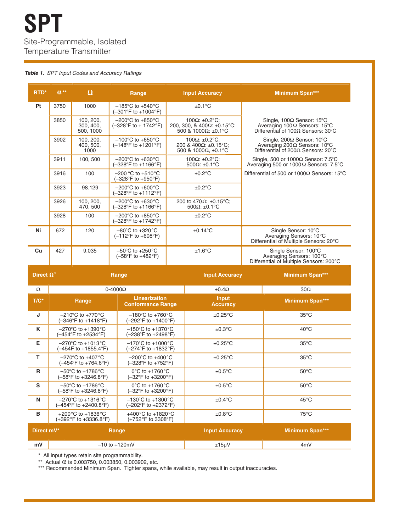#### *Table 1. SPT Input Codes and Accuracy Ratings*

| <b>RTD*</b> | $\mathbf{u}^{\star\star}$ | $\Omega$                            | Range                                                                         |  | <b>Input Accuracy</b>                                                                         |                                                                                             | <b>Minimum Span***</b>                                                                                                            |
|-------------|---------------------------|-------------------------------------|-------------------------------------------------------------------------------|--|-----------------------------------------------------------------------------------------------|---------------------------------------------------------------------------------------------|-----------------------------------------------------------------------------------------------------------------------------------|
| Pt          | 3750                      | 1000                                | $-185^{\circ}$ C to $+540^{\circ}$ C<br>$(-301^{\circ}F to +1004^{\circ}F)$   |  | $\pm 0.1$ °C                                                                                  |                                                                                             |                                                                                                                                   |
|             | 3850                      | 100, 200,<br>300, 400,<br>500, 1000 | $-200^{\circ}$ C to $+850^{\circ}$ C<br>$(-328^{\circ}F to + 1742^{\circ}F)$  |  | 100 $\Omega$ : ±0.2°C:<br>200, 300, & 400 $\Omega$ : ±0.15°C;<br>500 & 1000 $\Omega$ : ±0.1°C |                                                                                             | Single, $100\Omega$ Sensor: $15^{\circ}$ C<br>Averaging 100Ω Sensors: 15°C<br>Differential of $100\Omega$ Sensors: $30^{\circ}$ C |
|             | 3902                      | 100, 200,<br>400, 500,<br>1000      | $-100^{\circ}$ C to $+650^{\circ}$ C<br>$(-148^{\circ}F$ to $+1201^{\circ}F)$ |  | 100 $\Omega$ : ±0.2°C:<br>200 & 400Ω: ±0.15°C:<br>500 & 1000Ω. ±0.1°C                         |                                                                                             | Single, 200 $\Omega$ Sensor: 10°C<br>Averaging 200 $\Omega$ Sensors: 10°C<br>Differential of 200 $\Omega$ Sensors: 20°C           |
|             | 3911                      | 100, 500                            | $-200^{\circ}$ C to $+630^{\circ}$ C<br>(-328°F to +1166°F)                   |  | 100 $\Omega$ : ±0.2°C;<br>500 $\Omega$ : ±0.1°C                                               |                                                                                             | Single, 500 or 1000 $\Omega$ Sensor: 7.5°C<br>Averaging 500 or 1000 $\Omega$ Sensors: 7.5°C                                       |
|             | 3916                      | 100                                 | $-200$ °C to $+510$ °C<br>$(-328^{\circ}F to +950^{\circ}F)$                  |  | ±0.2°C                                                                                        |                                                                                             | Differential of 500 or 1000 $\Omega$ Sensors: 15°C                                                                                |
|             | 3923                      | 98.129                              | $-200^{\circ}$ C to $+600^{\circ}$ C<br>(-328°F to +1112°F)                   |  | $±0.2$ °C                                                                                     |                                                                                             |                                                                                                                                   |
|             | 3926                      | 100, 200,<br>470, 500               | $-200^{\circ}$ C to $+630^{\circ}$ C<br>$(-328^{\circ}F to +1166^{\circ}F)$   |  | 200 to 470 $\Omega$ : ±0.15°C;<br>500 $\Omega$ : ±0.1°C                                       |                                                                                             |                                                                                                                                   |
|             | 3928                      | 100                                 | $-200^{\circ}$ C to $+850^{\circ}$ C<br>(-328°F to +1742°F)                   |  | ±0.2°C                                                                                        |                                                                                             |                                                                                                                                   |
| Ni          | 672                       | 120                                 | $-80^{\circ}$ C to $+320^{\circ}$ C<br>$(-112^{\circ}F$ to $+608^{\circ}F)$   |  | $\pm 0.14$ °C                                                                                 | Single Sensor: 10°C<br>Averaging Sensors: 10°C<br>Differential of Multiple Sensors: 20°C    |                                                                                                                                   |
| Cu          | 427                       | 9.035                               | $-50^{\circ}$ C to $+250^{\circ}$ C<br>$(-58^{\circ}F to +482^{\circ}F)$      |  | $±1.6^{\circ}$ C                                                                              | Single Sensor: 100°C<br>Averaging Sensors: 100°C<br>Differential of Multiple Sensors: 200°C |                                                                                                                                   |
|             | Direct $\Omega^*$         |                                     | Range                                                                         |  | <b>Input Accuracy</b>                                                                         |                                                                                             | <b>Minimum Span***</b>                                                                                                            |
| $\Omega$    |                           | $0-4000\Omega$                      |                                                                               |  | $±0.4\Omega$                                                                                  |                                                                                             | $30\Omega$                                                                                                                        |
| $T/C^*$     |                           | Range                               | <b>Linearization</b><br><b>Conformance Range</b>                              |  | <b>Input</b><br><b>Accuracy</b>                                                               |                                                                                             | <b>Minimum Span***</b>                                                                                                            |

| "                   | naliye                                                                           | <b>Conformance Range</b>                                                  | <b>Accuracy</b>       | IVIIIIIIIIIIIIII ƏDAH  |
|---------------------|----------------------------------------------------------------------------------|---------------------------------------------------------------------------|-----------------------|------------------------|
| J                   | $-210^{\circ}$ C to $+770^{\circ}$ C<br>$(-346^{\circ}F to +1418^{\circ}F)$      | $-180^{\circ}$ C to $+760^{\circ}$ C<br>(-292°F to +1400°F)               | $\pm 0.25$ °C         | $35^{\circ}$ C         |
| K                   | $-270^{\circ}$ C to $+1390^{\circ}$ C<br>(–454°F to +2534°F)                     | $-150^{\circ}$ C to $+1370^{\circ}$ C<br>(-238°F to +2498°F)              | $\pm 0.3$ °C          | $40^{\circ}$ C         |
| E.                  | $-270^{\circ}$ C to +1013 $^{\circ}$ C<br>(-454F to +1855.4°F)                   | $-170^{\circ}$ C to $+1000^{\circ}$ C<br>(–274°F to +1832°F)              | $\pm 0.25$ °C         | $35^{\circ}$ C         |
| т                   | $-270^{\circ}$ C to $+407^{\circ}$ C<br>$(-454^{\circ}F to +764.6^{\circ}F)$     | $-200^{\circ}$ C to $+400^{\circ}$ C<br>(-328°F to +752°F)                | $\pm 0.25$ °C         | $35^{\circ}$ C         |
| R                   | $-50^{\circ}$ C to $+1786^{\circ}$ C<br>$(-58^{\circ}F to +3246.8^{\circ}F)$     | $0^{\circ}$ C to +1760 $^{\circ}$ C<br>(-32°F to +3200°F)                 | $\pm 0.5^{\circ}$ C   | $50^{\circ}$ C         |
| S                   | $-50^{\circ}$ C to $+1786^{\circ}$ C<br>(–58°F to +3246.8°F)                     | $0^{\circ}$ C to +1760 $^{\circ}$ C<br>$(-32^{\circ}F to +3200^{\circ}F)$ | $\pm 0.5^{\circ}$ C   | $50^{\circ}$ C         |
| N                   | $-270^{\circ}$ C to $+1316^{\circ}$ C<br>(–454°F to +2400.8°F)                   | $-130^{\circ}$ C to $\div 1300^{\circ}$ C<br>(-202°F to +2372°F)          | $\pm 0.4$ °C          | $45^{\circ}$ C         |
| в                   | +200 $^{\circ}$ C to +1836 $^{\circ}$ C<br>$(+392^{\circ}F to +3336.8^{\circ}F)$ | +400 $^{\circ}$ C to +1820 $^{\circ}$ C<br>(+752°F to 3308°F)             | $\pm 0.8$ °C          | $75^{\circ}$ C         |
| Direct mV*<br>Range |                                                                                  |                                                                           | <b>Input Accuracy</b> | <b>Minimum Span***</b> |
| mV                  | $-10$ to $+120$ mV                                                               |                                                                           | $±15\mu V$            | 4 <sub>m</sub> V       |

\* All input types retain site programmability.

 $*$  Actual  $\alpha$  is 0.003750, 0.003850, 0.003902, etc.

\*\* Actual α is 0.003750, 0.003850, 0.003902, etc.<br>\*\*\* Recommended Minimum Span. Tighter spans, while available, may result in output inaccuracies.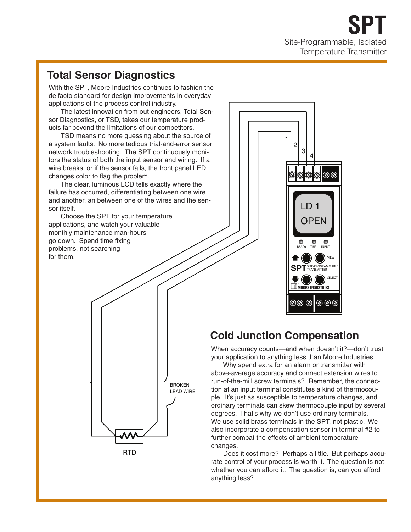### **Total Sensor Diagnostics**

With the SPT, Moore Industries continues to fashion the de facto standard for design improvements in everyday applications of the process control industry.

The latest innovation from out engineers, Total Sensor Diagnostics, or TSD, takes our temperature products far beyond the limitations of our competitors.

TSD means no more guessing about the source of a system faults. No more tedious trial-and-error sensor network troubleshooting. The SPT continuously monitors the status of both the input sensor and wiring. If a wire breaks, or if the sensor fails, the front panel LED changes color to flag the problem.

The clear, luminous LCD tells exactly where the failure has occurred, differentiating between one wire and another, an between one of the wires and the sensor itself.

Choose the SPT for your temperature applications, and watch your valuable monthly maintenance man-hours go down. Spend time fixing problems, not searching for them.





## **Cold Junction Compensation**

When accuracy counts—and when doesn't it?—don't trust your application to anything less than Moore Industries.

Why spend extra for an alarm or transmitter with above-average accuracy and connect extension wires to run-of-the-mill screw terminals? Remember, the connection at an input terminal constitutes a kind of thermocouple. It's just as susceptible to temperature changes, and ordinary terminals can skew thermocouple input by several degrees. That's why we don't use ordinary terminals. We use solid brass terminals in the SPT, not plastic. We also incorporate a compensation sensor in terminal #2 to further combat the effects of ambient temperature changes.

Does it cost more? Perhaps a little. But perhaps accurate control of your process is worth it. The question is not whether you can afford it. The question is, can you afford anything less?